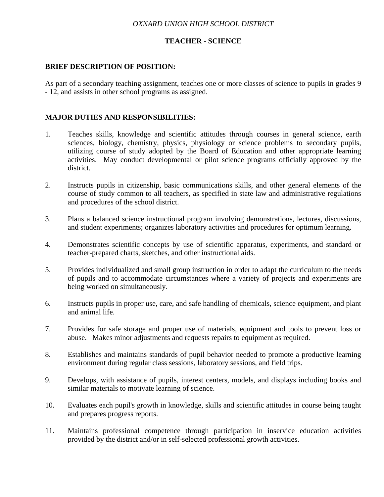### *OXNARD UNION HIGH SCHOOL DISTRICT*

### **TEACHER - SCIENCE**

### **BRIEF DESCRIPTION OF POSITION:**

As part of a secondary teaching assignment, teaches one or more classes of science to pupils in grades 9 - 12, and assists in other school programs as assigned.

## **MAJOR DUTIES AND RESPONSIBILITIES:**

- 1. Teaches skills, knowledge and scientific attitudes through courses in general science, earth sciences, biology, chemistry, physics, physiology or science problems to secondary pupils, utilizing course of study adopted by the Board of Education and other appropriate learning activities. May conduct developmental or pilot science programs officially approved by the district.
- 2. Instructs pupils in citizenship, basic communications skills, and other general elements of the course of study common to all teachers, as specified in state law and administrative regulations and procedures of the school district.
- 3. Plans a balanced science instructional program involving demonstrations, lectures, discussions, and student experiments; organizes laboratory activities and procedures for optimum learning.
- 4. Demonstrates scientific concepts by use of scientific apparatus, experiments, and standard or teacher-prepared charts, sketches, and other instructional aids.
- 5. Provides individualized and small group instruction in order to adapt the curriculum to the needs of pupils and to accommodate circumstances where a variety of projects and experiments are being worked on simultaneously.
- 6. Instructs pupils in proper use, care, and safe handling of chemicals, science equipment, and plant and animal life.
- 7. Provides for safe storage and proper use of materials, equipment and tools to prevent loss or abuse. Makes minor adjustments and requests repairs to equipment as required.
- 8. Establishes and maintains standards of pupil behavior needed to promote a productive learning environment during regular class sessions, laboratory sessions, and field trips.
- 9. Develops, with assistance of pupils, interest centers, models, and displays including books and similar materials to motivate learning of science.
- 10. Evaluates each pupil's growth in knowledge, skills and scientific attitudes in course being taught and prepares progress reports.
- 11. Maintains professional competence through participation in inservice education activities provided by the district and/or in self-selected professional growth activities.